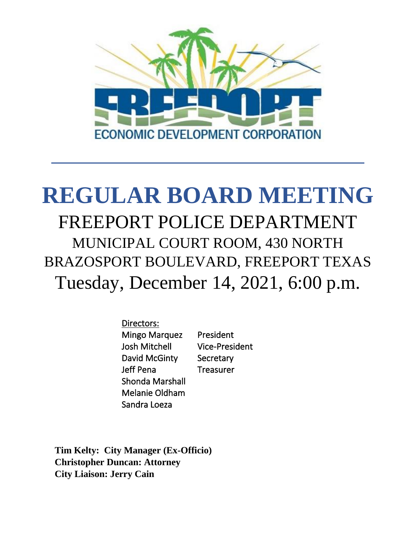

# **REGULAR BOARD MEETING** FREEPORT POLICE DEPARTMENT MUNICIPAL COURT ROOM, 430 NORTH BRAZOSPORT BOULEVARD, FREEPORT TEXAS Tuesday, December 14, 2021, 6:00 p.m.

Directors: Mingo Marquez President Josh Mitchell Vice-President David McGinty Secretary Jeff Pena Treasurer Shonda Marshall Melanie Oldham Sandra Loeza

**Tim Kelty: City Manager (Ex-Officio) Christopher Duncan: Attorney City Liaison: Jerry Cain**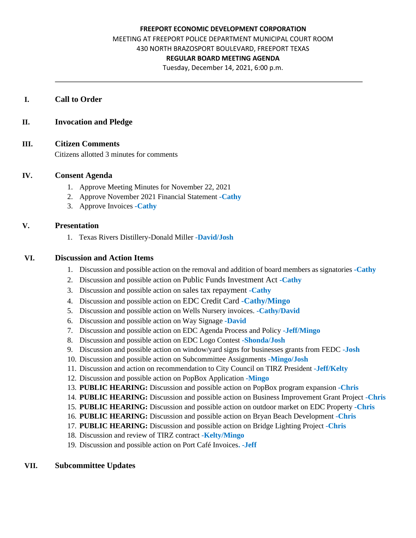#### **FREEPORT ECONOMIC DEVELOPMENT CORPORATION**

MEETING AT FREEPORT POLICE DEPARTMENT MUNICIPAL COURT ROOM

430 NORTH BRAZOSPORT BOULEVARD, FREEPORT TEXAS

#### **REGULAR BOARD MEETING AGENDA**

Tuesday, December 14, 2021, 6:00 p.m.

#### **I. Call to Order**

#### **II. Invocation and Pledge**

#### **III. Citizen Comments**

Citizens allotted 3 minutes for comments

#### **IV. Consent Agenda**

- 1. Approve Meeting Minutes for November 22, 2021
- 2. Approve November 2021 Financial Statement **-Cathy**
- 3. Approve Invoices **-Cathy**

### **V. Presentation**

1. Texas Rivers Distillery-Donald Miller **-David/Josh**

#### **VI. Discussion and Action Items**

- 1. Discussion and possible action on the removal and addition of board members as signatories **-Cathy**
- 2. Discussion and possible action on Public Funds Investment Act **-Cathy**
- 3. Discussion and possible action on sales tax repayment **-Cathy**
- 4. Discussion and possible action on EDC Credit Card **-Cathy/Mingo**
- 5. Discussion and possible action on Wells Nursery invoices. **-Cathy/David**
- 6. Discussion and possible action on Way Signage **-David**
- 7. Discussion and possible action on EDC Agenda Process and Policy **-Jeff/Mingo**
- 8. Discussion and possible action on EDC Logo Contest **-Shonda/Josh**
- 9. Discussion and possible action on window/yard signs for businesses grants from FEDC **-Josh**
- 10. Discussion and possible action on Subcommittee Assignments **-Mingo/Josh**
- 11. Discussion and action on recommendation to City Council on TIRZ President **-Jeff/Kelty**
- 12. Discussion and possible action on PopBox Application **-Mingo**
- 13. **PUBLIC HEARING:** Discussion and possible action on PopBox program expansion **-Chris**
- 14. **PUBLIC HEARING:** Discussion and possible action on Business Improvement Grant Project **-Chris**
- 15. **PUBLIC HEARING:** Discussion and possible action on outdoor market on EDC Property **-Chris**
- 16. **PUBLIC HEARING:** Discussion and possible action on Bryan Beach Development **-Chris**
- 17. **PUBLIC HEARING:** Discussion and possible action on Bridge Lighting Project **-Chris**
- 18. Discussion and review of TIRZ contract **-Kelty/Mingo**
- 19. Discussion and possible action on Port Café Invoices**. -Jeff**

### **VII. Subcommittee Updates**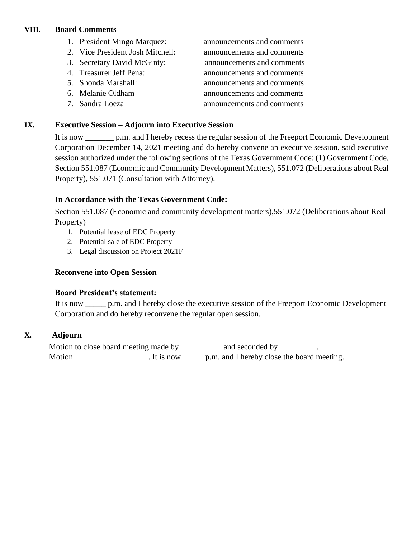## **VIII. Board Comments**

- 1. President Mingo Marquez: announcements and comments
- 2. Vice President Josh Mitchell: announcements and comments
- 3. Secretary David McGinty: announcements and comments
- 
- 
- 
- 

4. Treasurer Jeff Pena: announcements and comments 5. Shonda Marshall: announcements and comments 6. Melanie Oldham announcements and comments 7. Sandra Loeza announcements and comments

## **IX. Executive Session – Adjourn into Executive Session**

It is now \_\_\_\_\_\_\_ p.m. and I hereby recess the regular session of the Freeport Economic Development Corporation December 14, 2021 meeting and do hereby convene an executive session, said executive session authorized under the following sections of the Texas Government Code: (1) Government Code, Section 551.087 (Economic and Community Development Matters), 551.072 (Deliberations about Real Property), 551.071 (Consultation with Attorney).

## **In Accordance with the Texas Government Code:**

Section 551.087 (Economic and community development matters),551.072 (Deliberations about Real Property)

- 1. Potential lease of EDC Property
- 2. Potential sale of EDC Property
- 3. Legal discussion on Project 2021F

## **Reconvene into Open Session**

## **Board President's statement:**

It is now \_\_\_\_\_ p.m. and I hereby close the executive session of the Freeport Economic Development Corporation and do hereby reconvene the regular open session.

## **X. Adjourn**

Motion to close board meeting made by \_\_\_\_\_\_\_\_\_ and seconded by \_\_\_\_\_\_\_\_. Motion \_\_\_\_\_\_\_\_\_\_\_\_\_\_\_\_\_\_. It is now \_\_\_\_\_\_ p.m. and I hereby close the board meeting.